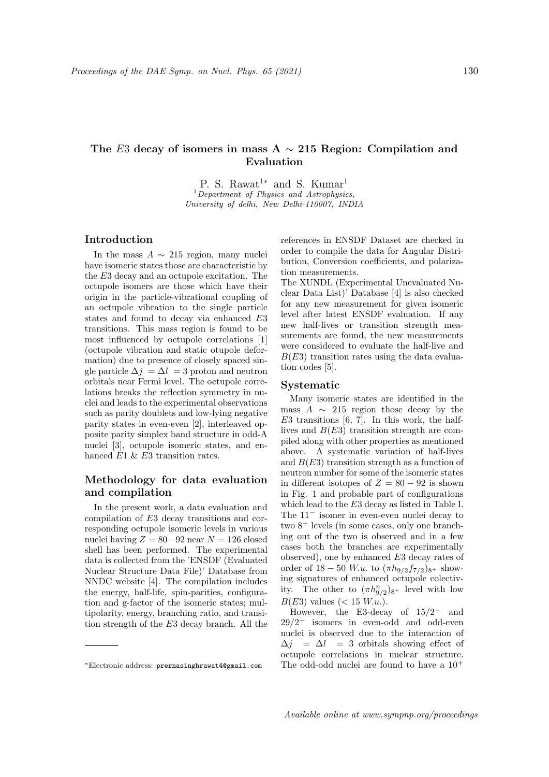# The E3 decay of isomers in mass A  $\sim$  215 Region: Compilation and Evaluation

P. S. Rawat<sup>1\*</sup> and S. Kumar<sup>1</sup>  $1$ Department of Physics and Astrophysics, University of delhi, New Delhi-110007, INDIA

## Introduction

In the mass  $A \sim 215$  region, many nuclei have isomeric states those are characteristic by the E3 decay and an octupole excitation. The octupole isomers are those which have their origin in the particle-vibrational coupling of an octupole vibration to the single particle states and found to decay via enhanced E3 transitions. This mass region is found to be most influenced by octupole correlations [1] (octupole vibration and static otupole deformation) due to presence of closely spaced single particle  $\Delta j = \Delta l = 3$  proton and neutron orbitals near Fermi level. The octupole correlations breaks the reflection symmetry in nuclei and leads to the experimental observations such as parity doublets and low-lying negative parity states in even-even [2], interleaved opposite parity simplex band structure in odd-A nuclei [3], octupole isomeric states, and enhanced E1 & E3 transition rates.

# Methodology for data evaluation and compilation

In the present work, a data evaluation and compilation of E3 decay transitions and corresponding octupole isomeric levels in various nuclei having  $Z = 80 - 92$  near  $N = 126$  closed shell has been performed. The experimental data is collected from the 'ENSDF (Evaluated Nuclear Structure Data File)' Database from NNDC website [4]. The compilation includes the energy, half-life, spin-parities, configuration and g-factor of the isomeric states; multipolarity, energy, branching ratio, and transition strength of the E3 decay branch. All the references in ENSDF Dataset are checked in order to compile the data for Angular Distribution, Conversion coefficients, and polarization measurements.

The XUNDL (Experimental Unevaluated Nuclear Data List)' Database [4] is also checked for any new measurement for given isomeric level after latest ENSDF evaluation. If any new half-lives or transition strength measurements are found, the new measurements were considered to evaluate the half-live and  $B(E3)$  transition rates using the data evaluation codes [5].

#### Systematic

Many isomeric states are identified in the mass  $A \sim 215$  region those decay by the  $E3$  transitions [6, 7]. In this work, the halflives and  $B(E3)$  transition strength are compiled along with other properties as mentioned above. A systematic variation of half-lives and  $B(E3)$  transition strength as a function of neutron number for some of the isomeric states in different isotopes of  $Z = 80 - 92$  is shown in Fig. 1 and probable part of configurations which lead to the E3 decay as listed in Table I. The 11<sup>−</sup> isomer in even-even nuclei decay to two 8<sup>+</sup> levels (in some cases, only one branching out of the two is observed and in a few cases both the branches are experimentally observed), one by enhanced E3 decay rates of order of  $18 - 50$  W.u. to  $(\pi h_{9/2} f_{7/2})_{8}$ + showing signatures of enhanced octupole colectivity. The other to  $(\pi h_{9/2}^n)_{8^+}$  level with low  $B(E3)$  values (< 15 W.u.).

However, the E3-decay of  $15/2^-$  and  $29/2^+$  isomers in even-odd and odd-even nuclei is observed due to the interaction of  $\Delta j = \Delta l = 3$  orbitals showing effect of octupole correlations in nuclear structure. The odd-odd nuclei are found to have a  $10^+$ 

<sup>∗</sup>Electronic address: prernasinghrawat4@gmail.com